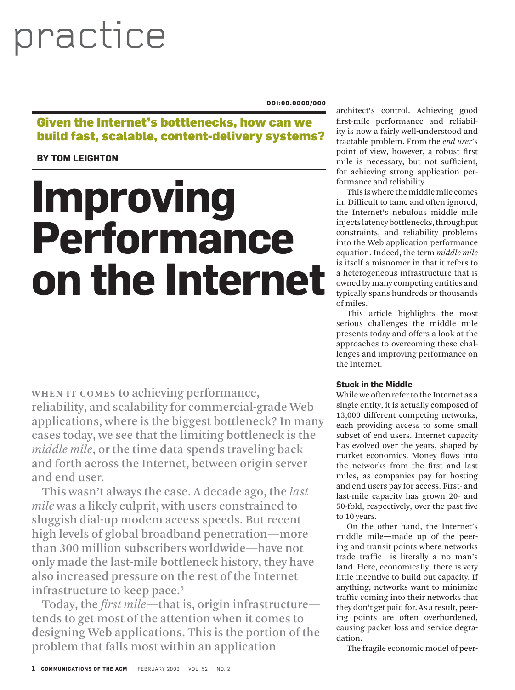# practice

#### **doi:00.0000/000**

Given the Internet's bottlenecks, how can we build fast, scalable, content-delivery systems?

## **by tom Leighton**

# **Improving Performance on the Internet**

**When it comes** to achieving performance, reliability, and scalability for commercial-grade Web applications, where is the biggest bottleneck? In many cases today, we see that the limiting bottleneck is the *middle mile*, or the time data spends traveling back and forth across the Internet, between origin server and end user.

This wasn't always the case. A decade ago, the *last mile* was a likely culprit, with users constrained to sluggish dial-up modem access speeds. But recent high levels of global broadband penetration—more than 300 million subscribers worldwide—have not only made the last-mile bottleneck history, they have also increased pressure on the rest of the Internet infrastructure to keep pace.<sup>5</sup>

Today, the *first mile*—that is, origin infrastructure tends to get most of the attention when it comes to designing Web applications. This is the portion of the problem that falls most within an application

architect's control. Achieving good first-mile performance and reliability is now a fairly well-understood and tractable problem. From the *end user*'s point of view, however, a robust first mile is necessary, but not sufficient, for achieving strong application performance and reliability.

This is where the middle mile comes in. Difficult to tame and often ignored, the Internet's nebulous middle mile injects latency bottlenecks, throughput constraints, and reliability problems into the Web application performance equation. Indeed, the term *middle mile*  is itself a misnomer in that it refers to a heterogeneous infrastructure that is owned by many competing entities and typically spans hundreds or thousands of miles.

This article highlights the most serious challenges the middle mile presents today and offers a look at the approaches to overcoming these challenges and improving performance on the Internet.

### **Stuck in the Middle**

While we often refer to the Internet as a single entity, it is actually composed of 13,000 different competing networks, each providing access to some small subset of end users. Internet capacity has evolved over the years, shaped by market economics. Money flows into the networks from the first and last miles, as companies pay for hosting and end users pay for access. First- and last-mile capacity has grown 20- and 50-fold, respectively, over the past five to 10 years.

On the other hand, the Internet's middle mile—made up of the peering and transit points where networks trade traffic—is literally a no man's land. Here, economically, there is very little incentive to build out capacity. If anything, networks want to minimize traffic coming into their networks that they don't get paid for. As a result, peering points are often overburdened, causing packet loss and service degradation.

The fragile economic model of peer-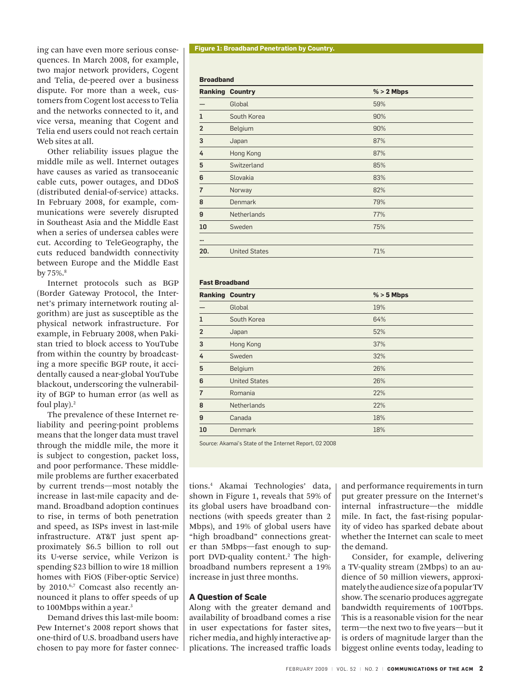ing can have even more serious consequences. In March 2008, for example, two major network providers, Cogent and Telia, de-peered over a business dispute. For more than a week, customers from Cogent lost access to Telia and the networks connected to it, and vice versa, meaning that Cogent and Telia end users could not reach certain Web sites at all.

Other reliability issues plague the middle mile as well. Internet outages have causes as varied as transoceanic cable cuts, power outages, and DDoS (distributed denial-of-service) attacks. In February 2008, for example, communications were severely disrupted in Southeast Asia and the Middle East when a series of undersea cables were cut. According to TeleGeography, the cuts reduced bandwidth connectivity between Europe and the Middle East by 75%.<sup>8</sup>

Internet protocols such as BGP (Border Gateway Protocol, the Internet's primary internetwork routing algorithm) are just as susceptible as the physical network infrastructure. For example, in February 2008, when Pakistan tried to block access to YouTube from within the country by broadcasting a more specific BGP route, it accidentally caused a near-global YouTube blackout, underscoring the vulnerability of BGP to human error (as well as foul play). $2$ 

The prevalence of these Internet reliability and peering-point problems means that the longer data must travel through the middle mile, the more it is subject to congestion, packet loss, and poor performance. These middlemile problems are further exacerbated by current trends—most notably the increase in last-mile capacity and demand. Broadband adoption continues to rise, in terms of both penetration and speed, as ISPs invest in last-mile infrastructure. AT&T just spent approximately \$6.5 billion to roll out its U-verse service, while Verizon is spending \$23 billion to wire 18 million homes with FiOS (Fiber-optic Service) by 2010.<sup>6,7</sup> Comcast also recently announced it plans to offer speeds of up to 100Mbps within a year.<sup>3</sup>

Demand drives this last-mile boom: Pew Internet's 2008 report shows that one-third of U.S. broadband users have chosen to pay more for faster connec-

#### **Figure 1: Broadband Penetration by Country.**

#### **Broadband**

|                | <b>Ranking Country</b> | $% > 2$ Mbps |
|----------------|------------------------|--------------|
|                | Global                 | 59%          |
| 1              | South Korea            | 90%          |
| $\overline{2}$ | Belgium                | 90%          |
| 3              | Japan                  | 87%          |
| 4              | Hong Kong              | 87%          |
| 5              | Switzerland            | 85%          |
| 6              | Slovakia               | 83%          |
| $\overline{7}$ | Norway                 | 82%          |
| 8              | <b>Denmark</b>         | 79%          |
| 9              | <b>Netherlands</b>     | 77%          |
| 10             | Sweden                 | 75%          |
|                |                        |              |
| 20.            | <b>United States</b>   | 71%          |

#### **Fast Broadband**

|                | <b>Ranking Country</b> | $% > 5$ Mbps |
|----------------|------------------------|--------------|
|                | Global                 | 19%          |
|                | South Korea            | 64%          |
| $\overline{2}$ | Japan                  | 52%          |
| 3              | Hong Kong              | 37%          |
| 4              | Sweden                 | 32%          |
| 5              | Belgium                | 26%          |
| 6              | <b>United States</b>   | 26%          |
| 7              | Romania                | 22%          |
| 8              | <b>Netherlands</b>     | 22%          |
| 9              | Canada                 | 18%          |
| 10             | <b>Denmark</b>         | 18%          |

Source: Akamai's State of the Internet Report, 02 2008

tions.4 Akamai Technologies' data, shown in Figure 1, reveals that 59% of its global users have broadband connections (with speeds greater than 2 Mbps), and 19% of global users have "high broadband" connections greater than 5Mbps—fast enough to support DVD-quality content.2 The highbroadband numbers represent a 19% increase in just three months.

#### **A Question of Scale**

Along with the greater demand and availability of broadband comes a rise in user expectations for faster sites, richer media, and highly interactive applications. The increased traffic loads and performance requirements in turn put greater pressure on the Internet's internal infrastructure—the middle mile. In fact, the fast-rising popularity of video has sparked debate about whether the Internet can scale to meet the demand.

Consider, for example, delivering a TV-quality stream (2Mbps) to an audience of 50 million viewers, approximately the audience size of a popular TV show. The scenario produces aggregate bandwidth requirements of 100Tbps. This is a reasonable vision for the near term—the next two to five years—but it is orders of magnitude larger than the biggest online events today, leading to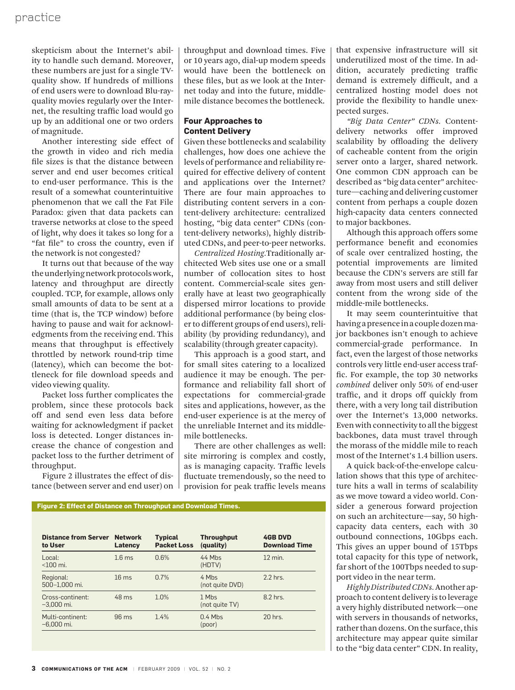skepticism about the Internet's ability to handle such demand. Moreover, these numbers are just for a single TVquality show. If hundreds of millions of end users were to download Blu-rayquality movies regularly over the Internet, the resulting traffic load would go up by an additional one or two orders of magnitude.

Another interesting side effect of the growth in video and rich media file sizes is that the distance between server and end user becomes critical to end-user performance. This is the result of a somewhat counterintuitive phenomenon that we call the Fat File Paradox: given that data packets can traverse networks at close to the speed of light, why does it takes so long for a "fat file" to cross the country, even if the network is not congested?

It turns out that because of the way the underlying network protocols work, latency and throughput are directly coupled. TCP, for example, allows only small amounts of data to be sent at a time (that is, the TCP window) before having to pause and wait for acknowledgments from the receiving end. This means that throughput is effectively throttled by network round-trip time (latency), which can become the bottleneck for file download speeds and video viewing quality.

Packet loss further complicates the problem, since these protocols back off and send even less data before waiting for acknowledgment if packet loss is detected. Longer distances increase the chance of congestion and packet loss to the further detriment of throughput.

Figure 2 illustrates the effect of distance (between server and end user) on throughput and download times. Five or 10 years ago, dial-up modem speeds would have been the bottleneck on these files, but as we look at the Internet today and into the future, middlemile distance becomes the bottleneck.

#### **Four Approaches to Content Delivery**

Given these bottlenecks and scalability challenges, how does one achieve the levels of performance and reliability required for effective delivery of content and applications over the Internet? There are four main approaches to distributing content servers in a content-delivery architecture: centralized hosting, "big data center" CDNs (content-delivery networks), highly distributed CDNs, and peer-to-peer networks.

*Centralized Hosting.*Traditionally architected Web sites use one or a small number of collocation sites to host content. Commercial-scale sites generally have at least two geographically dispersed mirror locations to provide additional performance (by being closer to different groups of end users), reliability (by providing redundancy), and scalability (through greater capacity).

This approach is a good start, and for small sites catering to a localized audience it may be enough. The performance and reliability fall short of expectations for commercial-grade sites and applications, however, as the end-user experience is at the mercy of the unreliable Internet and its middlemile bottlenecks.

There are other challenges as well: site mirroring is complex and costly, as is managing capacity. Traffic levels fluctuate tremendously, so the need to provision for peak traffic levels means

**Figure 2: Effect of Distance on Throughput and Download Times.**

| <b>Distance from Server</b><br>to User | <b>Network</b><br>Latency | <b>Typical</b><br><b>Packet Loss</b> | <b>Throughput</b><br>(quality) | <b>4GB DVD</b><br><b>Download Time</b> |
|----------------------------------------|---------------------------|--------------------------------------|--------------------------------|----------------------------------------|
| Local:<br>$<$ 100mi.                   | $1.6 \text{ ms}$          | 0.6%                                 | 44 Mhs<br>(HDTV)               | $12 \text{ min}$ .                     |
| Regional:<br>500-1.000 mi.             | $16 \text{ ms}$           | 0.7%                                 | 4 Mhs<br>(not quite DVD)       | 2.2 hrs.                               |
| Cross-continent:<br>$-3.000$ mi.       | 48 ms                     | 1.0%                                 | 1 Mbs<br>(not quite TV)        | 8.2 hrs.                               |
| Multi-continent:<br>$-6.000$ mi.       | $96 \text{ ms}$           | 1.4%                                 | $0.4$ Mbs<br>(poor)            | 20 hrs.                                |

that expensive infrastructure will sit underutilized most of the time. In addition, accurately predicting traffic demand is extremely difficult, and a centralized hosting model does not provide the flexibility to handle unexpected surges.

*"Big Data Center" CDNs.* Contentdelivery networks offer improved scalability by offloading the delivery of cacheable content from the origin server onto a larger, shared network. One common CDN approach can be described as "big data center" architecture—caching and delivering customer content from perhaps a couple dozen high-capacity data centers connected to major backbones.

Although this approach offers some performance benefit and economies of scale over centralized hosting, the potential improvements are limited because the CDN's servers are still far away from most users and still deliver content from the wrong side of the middle-mile bottlenecks.

It may seem counterintuitive that having a presence in a couple dozen major backbones isn't enough to achieve commercial-grade performance. In fact, even the largest of those networks controls very little end-user access traffic. For example, the top 30 networks *combined* deliver only 50% of end-user traffic, and it drops off quickly from there, with a very long tail distribution over the Internet's 13,000 networks. Even with connectivity to all the biggest backbones, data must travel through the morass of the middle mile to reach most of the Internet's 1.4 billion users.

A quick back-of-the-envelope calculation shows that this type of architecture hits a wall in terms of scalability as we move toward a video world. Consider a generous forward projection on such an architecture—say, 50 highcapacity data centers, each with 30 outbound connections, 10Gbps each. This gives an upper bound of 15Tbps total capacity for this type of network, far short of the 100Tbps needed to support video in the near term.

*Highly Distributed CDNs.* Another approach to content delivery is to leverage a very highly distributed network—one with servers in thousands of networks, rather than dozens. On the surface, this architecture may appear quite similar to the "big data center" CDN. In reality,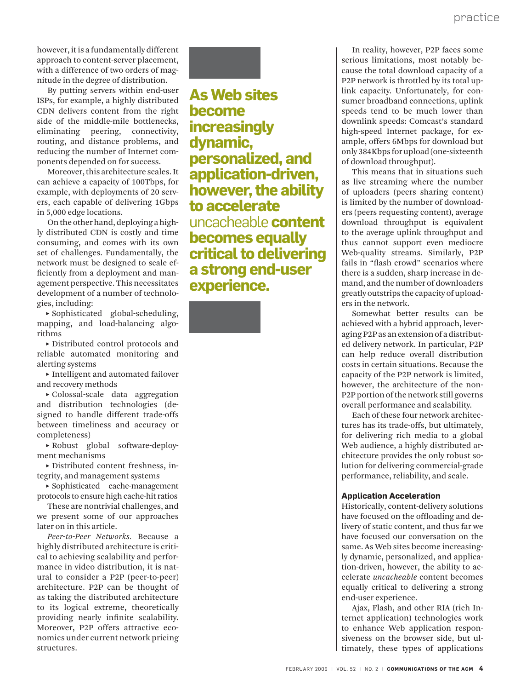however, it is a fundamentally different approach to content-server placement, with a difference of two orders of magnitude in the degree of distribution.

By putting servers within end-user ISPs, for example, a highly distributed CDN delivers content from the right side of the middle-mile bottlenecks, eliminating peering, connectivity, routing, and distance problems, and reducing the number of Internet components depended on for success.

Moreover, this architecture scales. It can achieve a capacity of 100Tbps, for example, with deployments of 20 servers, each capable of delivering 1Gbps in 5,000 edge locations.

On the other hand, deploying a highly distributed CDN is costly and time consuming, and comes with its own set of challenges. Fundamentally, the network must be designed to scale efficiently from a deployment and management perspective. This necessitates development of a number of technologies, including:

**˲** Sophisticated global-scheduling, mapping, and load-balancing algorithms

**˲** Distributed control protocols and reliable automated monitoring and alerting systems

**˲** Intelligent and automated failover and recovery methods

**˲** Colossal-scale data aggregation and distribution technologies (designed to handle different trade-offs between timeliness and accuracy or completeness)

**˲** Robust global software-deployment mechanisms

**˲** Distributed content freshness, integrity, and management systems

**˲** Sophisticated cache-management protocols to ensure high cache-hit ratios

These are nontrivial challenges, and we present some of our approaches later on in this article.

*Peer-to-Peer Networks.* Because a highly distributed architecture is critical to achieving scalability and performance in video distribution, it is natural to consider a P2P (peer-to-peer) architecture. P2P can be thought of as taking the distributed architecture to its logical extreme, theoretically providing nearly infinite scalability. Moreover, P2P offers attractive economics under current network pricing structures.



**As Web sites become increasingly dynamic, personalized, and application-driven, however, the ability to accelerate**  uncacheable **content becomes equally critical to delivering a strong end-user experience.** 

In reality, however, P2P faces some serious limitations, most notably because the total download capacity of a P2P network is throttled by its total uplink capacity. Unfortunately, for consumer broadband connections, uplink speeds tend to be much lower than downlink speeds: Comcast's standard high-speed Internet package, for example, offers 6Mbps for download but only 384Kbps for upload (one-sixteenth of download throughput).

This means that in situations such as live streaming where the number of uploaders (peers sharing content) is limited by the number of downloaders (peers requesting content), average download throughput is equivalent to the average uplink throughput and thus cannot support even mediocre Web-quality streams. Similarly, P2P fails in "flash crowd" scenarios where there is a sudden, sharp increase in demand, and the number of downloaders greatly outstrips the capacity of uploaders in the network.

Somewhat better results can be achieved with a hybrid approach, leveraging P2P as an extension of a distributed delivery network. In particular, P2P can help reduce overall distribution costs in certain situations. Because the capacity of the P2P network is limited, however, the architecture of the non-P2P portion of the network still governs overall performance and scalability.

Each of these four network architectures has its trade-offs, but ultimately, for delivering rich media to a global Web audience, a highly distributed architecture provides the only robust solution for delivering commercial-grade performance, reliability, and scale.

### **Application Acceleration**

Historically, content-delivery solutions have focused on the offloading and delivery of static content, and thus far we have focused our conversation on the same. As Web sites become increasingly dynamic, personalized, and application-driven, however, the ability to accelerate *uncacheable* content becomes equally critical to delivering a strong end-user experience.

Ajax, Flash, and other RIA (rich Internet application) technologies work to enhance Web application responsiveness on the browser side, but ultimately, these types of applications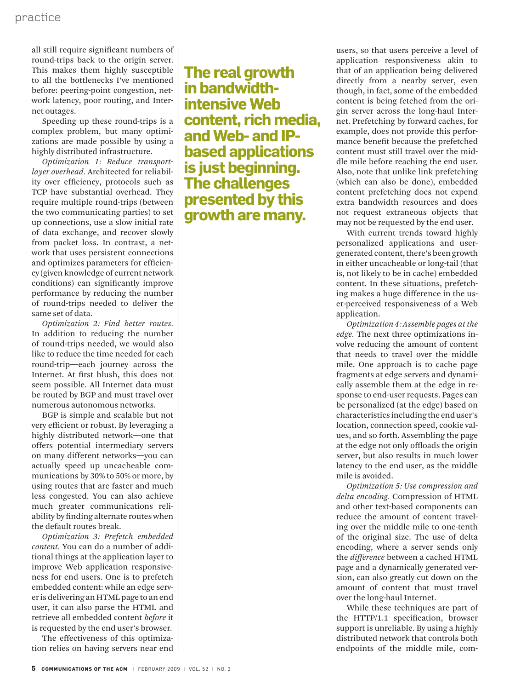all still require significant numbers of round-trips back to the origin server. This makes them highly susceptible to all the bottlenecks I've mentioned before: peering-point congestion, network latency, poor routing, and Internet outages.

Speeding up these round-trips is a complex problem, but many optimizations are made possible by using a highly distributed infrastructure.

*Optimization 1: Reduce transportlayer overhead.* Architected for reliability over efficiency, protocols such as TCP have substantial overhead. They require multiple round-trips (between the two communicating parties) to set up connections, use a slow initial rate of data exchange, and recover slowly from packet loss. In contrast, a network that uses persistent connections and optimizes parameters for efficiency (given knowledge of current network conditions) can significantly improve performance by reducing the number of round-trips needed to deliver the same set of data.

*Optimization 2: Find better routes.* In addition to reducing the number of round-trips needed, we would also like to reduce the time needed for each round-trip—each journey across the Internet. At first blush, this does not seem possible. All Internet data must be routed by BGP and must travel over numerous autonomous networks.

BGP is simple and scalable but not very efficient or robust. By leveraging a highly distributed network—one that offers potential intermediary servers on many different networks—you can actually speed up uncacheable communications by 30% to 50% or more, by using routes that are faster and much less congested. You can also achieve much greater communications reliability by finding alternate routes when the default routes break.

*Optimization 3: Prefetch embedded content.* You can do a number of additional things at the application layer to improve Web application responsiveness for end users. One is to prefetch embedded content: while an edge server is delivering an HTML page to an end user, it can also parse the HTML and retrieve all embedded content *before* it is requested by the end user's browser.

The effectiveness of this optimization relies on having servers near end

**The real growth in bandwidthintensive Web content, rich media, and Web- and IPbased applications is just beginning. The challenges presented by this growth are many.**

users, so that users perceive a level of application responsiveness akin to that of an application being delivered directly from a nearby server, even though, in fact, some of the embedded content is being fetched from the origin server across the long-haul Internet. Prefetching by forward caches, for example, does not provide this performance benefit because the prefetched content must still travel over the middle mile before reaching the end user. Also, note that unlike link prefetching (which can also be done), embedded content prefetching does not expend extra bandwidth resources and does not request extraneous objects that may not be requested by the end user.

With current trends toward highly personalized applications and usergenerated content, there's been growth in either uncacheable or long-tail (that is, not likely to be in cache) embedded content. In these situations, prefetching makes a huge difference in the user-perceived responsiveness of a Web application.

*Optimization 4: Assemble pages at the edge.* The next three optimizations involve reducing the amount of content that needs to travel over the middle mile. One approach is to cache page fragments at edge servers and dynamically assemble them at the edge in response to end-user requests. Pages can be personalized (at the edge) based on characteristics including the end user's location, connection speed, cookie values, and so forth. Assembling the page at the edge not only offloads the origin server, but also results in much lower latency to the end user, as the middle mile is avoided.

*Optimization 5: Use compression and delta encoding.* Compression of HTML and other text-based components can reduce the amount of content traveling over the middle mile to one-tenth of the original size. The use of delta encoding, where a server sends only the *difference* between a cached HTML page and a dynamically generated version, can also greatly cut down on the amount of content that must travel over the long-haul Internet.

While these techniques are part of the HTTP/1.1 specification, browser support is unreliable. By using a highly distributed network that controls both endpoints of the middle mile, com-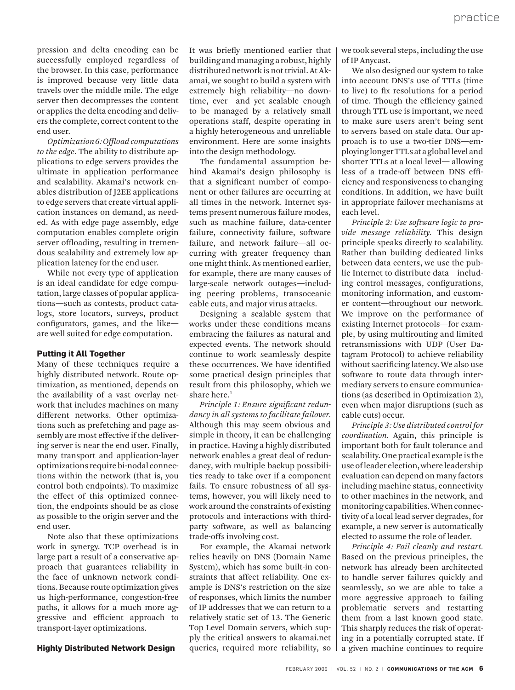pression and delta encoding can be successfully employed regardless of the browser. In this case, performance is improved because very little data travels over the middle mile. The edge server then decompresses the content or applies the delta encoding and delivers the complete, correct content to the end user.

*Optimization 6: Offload computations to the edge.* The ability to distribute applications to edge servers provides the ultimate in application performance and scalability. Akamai's network enables distribution of J2EE applications to edge servers that create virtual application instances on demand, as needed. As with edge page assembly, edge computation enables complete origin server offloading, resulting in tremendous scalability and extremely low application latency for the end user.

While not every type of application is an ideal candidate for edge computation, large classes of popular applications—such as contests, product catalogs, store locators, surveys, product configurators, games, and the like are well suited for edge computation.

#### **Putting it All Together**

Many of these techniques require a highly distributed network. Route optimization, as mentioned, depends on the availability of a vast overlay network that includes machines on many different networks. Other optimizations such as prefetching and page assembly are most effective if the delivering server is near the end user. Finally, many transport and application-layer optimizations require bi-nodal connections within the network (that is, you control both endpoints). To maximize the effect of this optimized connection, the endpoints should be as close as possible to the origin server and the end user.

Note also that these optimizations work in synergy. TCP overhead is in large part a result of a conservative approach that guarantees reliability in the face of unknown network conditions. Because route optimization gives us high-performance, congestion-free paths, it allows for a much more aggressive and efficient approach to transport-layer optimizations.

**Highly Distributed Network Design** 

It was briefly mentioned earlier that building and managing a robust, highly distributed network is not trivial. At Akamai, we sought to build a system with extremely high reliability—no downtime, ever—and yet scalable enough to be managed by a relatively small operations staff, despite operating in a highly heterogeneous and unreliable environment. Here are some insights into the design methodology.

The fundamental assumption behind Akamai's design philosophy is that a significant number of component or other failures are occurring at all times in the network. Internet systems present numerous failure modes, such as machine failure, data-center failure, connectivity failure, software failure, and network failure—all occurring with greater frequency than one might think. As mentioned earlier, for example, there are many causes of large-scale network outages—including peering problems, transoceanic cable cuts, and major virus attacks.

Designing a scalable system that works under these conditions means embracing the failures as natural and expected events. The network should continue to work seamlessly despite these occurrences. We have identified some practical design principles that result from this philosophy, which we share here. $1$ 

*Principle 1: Ensure significant redundancy in all systems to facilitate failover.* Although this may seem obvious and simple in theory, it can be challenging in practice. Having a highly distributed network enables a great deal of redundancy, with multiple backup possibilities ready to take over if a component fails. To ensure robustness of all systems, however, you will likely need to work around the constraints of existing protocols and interactions with thirdparty software, as well as balancing trade-offs involving cost.

For example, the Akamai network relies heavily on DNS (Domain Name System), which has some built-in constraints that affect reliability. One example is DNS's restriction on the size of responses, which limits the number of IP addresses that we can return to a relatively static set of 13. The Generic Top Level Domain servers, which supply the critical answers to akamai.net queries, required more reliability, so

we took several steps, including the use of IP Anycast.

We also designed our system to take into account DNS's use of TTLs (time to live) to fix resolutions for a period of time. Though the efficiency gained through TTL use is important, we need to make sure users aren't being sent to servers based on stale data. Our approach is to use a two-tier DNS—employing longer TTLs at a global level and shorter TTLs at a local level— allowing less of a trade-off between DNS efficiency and responsiveness to changing conditions. In addition, we have built in appropriate failover mechanisms at each level.

*Principle 2: Use software logic to provide message reliability.* This design principle speaks directly to scalability. Rather than building dedicated links between data centers, we use the public Internet to distribute data—including control messages, configurations, monitoring information, and customer content—throughout our network. We improve on the performance of existing Internet protocols—for example, by using multirouting and limited retransmissions with UDP (User Datagram Protocol) to achieve reliability without sacrificing latency. We also use software to route data through intermediary servers to ensure communications (as described in Optimization 2), even when major disruptions (such as cable cuts) occur.

*Principle 3: Use distributed control for coordination.* Again, this principle is important both for fault tolerance and scalability. One practical example is the use of leader election, where leadership evaluation can depend on many factors including machine status, connectivity to other machines in the network, and monitoring capabilities. When connectivity of a local lead server degrades, for example, a new server is automatically elected to assume the role of leader.

*Principle 4: Fail cleanly and restart.*  Based on the previous principles, the network has already been architected to handle server failures quickly and seamlessly, so we are able to take a more aggressive approach to failing problematic servers and restarting them from a last known good state. This sharply reduces the risk of operating in a potentially corrupted state. If a given machine continues to require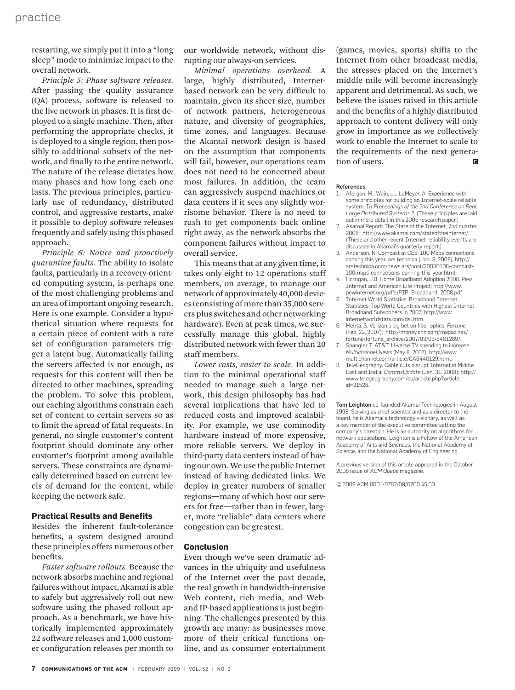restarting, we simply put it into a "long sleep" mode to minimize impact to the overall network.

*Principle 5: Phase software releases.*  After passing the quality assurance (QA) process, software is released to the live network in phases. It is first deployed to a single machine. Then, after performing the appropriate checks, it is deployed to a single region, then possibly to additional subsets of the network, and finally to the entire network. The nature of the release dictates how many phases and how long each one lasts. The previous principles, particularly use of redundancy, distributed control, and aggressive restarts, make it possible to deploy software releases frequently and safely using this phased approach.

*Principle 6: Notice and proactively quarantine faults.* The ability to isolate faults, particularly in a recovery-oriented computing system, is perhaps one of the most challenging problems and an area of important ongoing research. Here is one example. Consider a hypothetical situation where requests for a certain piece of content with a rare set of configuration parameters trigger a latent bug. Automatically failing the servers affected is not enough, as requests for this content will then be directed to other machines, spreading the problem. To solve this problem, our caching algorithms constrain each set of content to certain servers so as to limit the spread of fatal requests. In general, no single customer's content footprint should dominate any other customer's footprint among available servers. These constraints are dynamically determined based on current levels of demand for the content, while keeping the network safe.

#### **Practical Results and Benefits**

Besides the inherent fault-tolerance benefits, a system designed around these principles offers numerous other benefits.

*Faster software rollouts.* Because the network absorbs machine and regional failures without impact, Akamai is able to safely but aggressively roll out new software using the phased rollout approach. As a benchmark, we have historically implemented approximately 22 software releases and 1,000 customer configuration releases per month to our worldwide network, without disrupting our always-on services.

*Minimal operations overhead.* A large, highly distributed, Internetbased network can be very difficult to maintain, given its sheer size, number of network partners, heterogeneous nature, and diversity of geographies, time zones, and languages. Because the Akamai network design is based on the assumption that components will fail, however, our operations team does not need to be concerned about most failures. In addition, the team can aggressively suspend machines or data centers if it sees any slightly worrisome behavior. There is no need to rush to get components back online right away, as the network absorbs the component failures without impact to overall service.

This means that at any given time, it takes only eight to 12 operations staff members, on average, to manage our network of approximately 40,000 devices (consisting of more than 35,000 servers plus switches and other networking hardware). Even at peak times, we successfully manage this global, highly distributed network with fewer than 20 staff members.

*Lower costs, easier to scale.* In addition to the minimal operational staff needed to manage such a large network, this design philosophy has had several implications that have led to reduced costs and improved scalability. For example, we use commodity hardware instead of more expensive, more reliable servers. We deploy in third-party data centers instead of having our own. We use the public Internet instead of having dedicated links. We deploy in greater numbers of smaller regions—many of which host our servers for free—rather than in fewer, larger, more "reliable" data centers where congestion can be greatest.

#### **Conclusion**

Even though we've seen dramatic advances in the ubiquity and usefulness of the Internet over the past decade, the real growth in bandwidth-intensive Web content, rich media, and Weband IP-based applications is just beginning. The challenges presented by this growth are many: as businesses move more of their critical functions online, and as consumer entertainment (games, movies, sports) shifts to the Internet from other broadcast media, the stresses placed on the Internet's middle mile will become increasingly apparent and detrimental. As such, we believe the issues raised in this article and the benefits of a highly distributed approach to content delivery will only grow in importance as we collectively work to enable the Internet to scale to the requirements of the next generation of users.  $\blacksquare$ 

#### References

- 1. Afergan, M., Wein, J., LaMeyer, A. Experience with some principles for building an Internet-scale reliable system. In *Proceedings of the 2nd Conference on Real, Large Distributed Systems 2*. (These principles are laid out in more detail in this 2005 research paper.)
- 2. Akamai Report: The State of the Internet, 2nd quarter, 2008; http://www.akamai.com/stateoftheinternet/. (These and other recent Internet reliability events are discussed in Akamai's quarterly report.)
- Anderson, N. Comcast at CES: 100 Mbps connections coming this year. ars technica (Jan. 8, 2008); http:// arstechnica.com/news.ars/post/20080108-comcast-100mbps-connections-coming-this-year.html.
- Horrigan, J.B. Home Broadband Adoption 2008. Pew Internet and American Life Project; http://www.
- pewinternet.org/pdfs/PIP\_Broadband\_2008.pdf. 5. Internet World Statistics. Broadband Internet Statistics: Top World Countries with Highest Internet Broadband Subscribers in 2007; http://www. internetworldstats.com/dsl.htm.
- 6. Mehta, S. Verizon's big bet on fiber optics. *Fortune* (Feb. 22, 2007); http://money.cnn.com/magazines/ fortune/fortune\_archive/2007/03/05/8401289/.
- 7. Spangler T. AT&T: U-verse TV spending to increase. *Multichannel News* (May 8, 2007); http://www. multichannel.com/article/CA6440129.html.
- TeleGeography. Cable cuts disrupt Internet in Middle East and India. *CommsUpdate* (Jan. 31, 2008); http:// www.telegeography.com/cu/article.php?article\_ id=21528.

Tom Leighton co-founded Akamai Technologies in August 1998. Serving as chief scientist and as a director to the board, he is Akamai's technology visionary, as well as a key member of the executive committee setting the company's direction. He is an authority on algorithms for network applications. Leighton is a Fellow of the American Academy of Arts and Sciences, the National Academy of Science, and the National Academy of Engineering.

A previous version of this article appeared in the October 2008 issue of *ACM Queue* magazine.

© 2009 ACM 0001-0782/09/0200 \$5.00